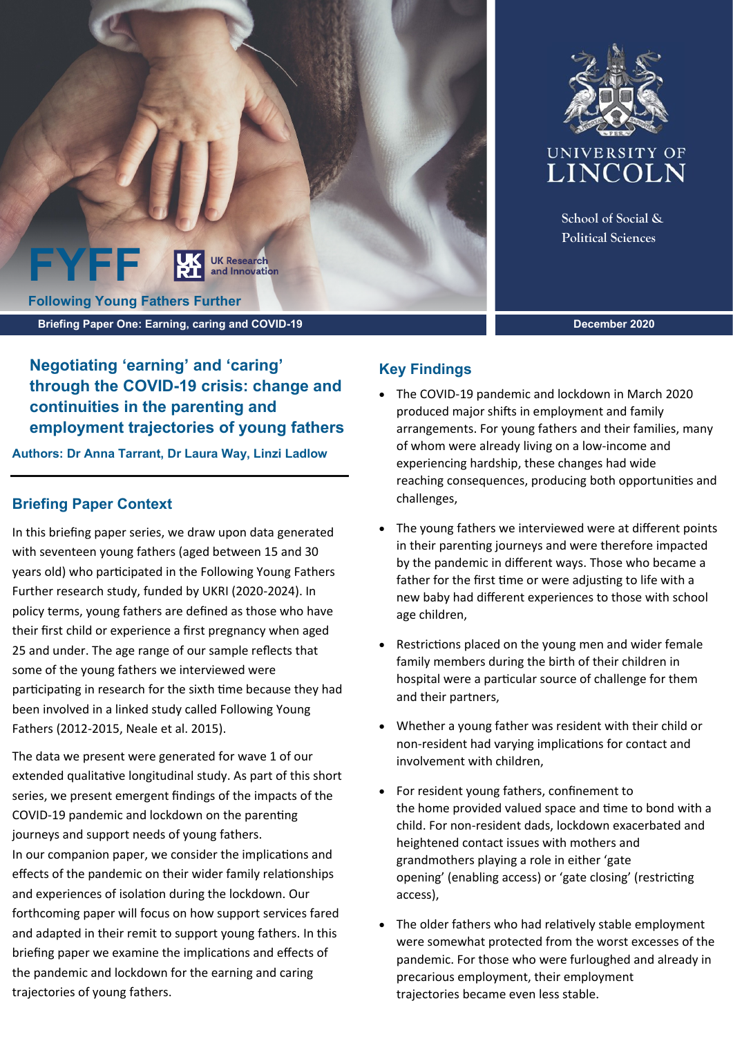



**School of Social & Political Sciences**

**December 2020**

**Negotiating 'earning' and 'caring' through the COVID-19 crisis: change and continuities in the parenting and employment trajectories of young fathers**

**Authors: Dr Anna Tarrant, Dr Laura Way, Linzi Ladlow**

# **Briefing Paper Context**

In this briefing paper series, we draw upon data generated with seventeen young fathers (aged between 15 and 30 years old) who participated in the Following Young Fathers Further research study, funded by UKRI (2020-2024). In policy terms, young fathers are defined as those who have their first child or experience a first pregnancy when aged 25 and under. The age range of our sample reflects that some of the young fathers we interviewed were participating in research for the sixth time because they had been involved in a linked study called Following Young Fathers (2012-2015, Neale et al. 2015).

The data we present were generated for wave 1 of our extended qualitative longitudinal study. As part of this short series, we present emergent findings of the impacts of the COVID-19 pandemic and lockdown on the parenting journeys and support needs of young fathers. In our companion paper, we consider the implications and effects of the pandemic on their wider family relationships and experiences of isolation during the lockdown. Our forthcoming paper will focus on how support services fared and adapted in their remit to support young fathers. In this briefing paper we examine the implications and effects of the pandemic and lockdown for the earning and caring trajectories of young fathers.

# **Key Findings**

- The COVID-19 pandemic and lockdown in March 2020 produced major shifts in employment and family arrangements. For young fathers and their families, many of whom were already living on a low-income and experiencing hardship, these changes had wide reaching consequences, producing both opportunities and challenges,
- The young fathers we interviewed were at different points in their parenting journeys and were therefore impacted by the pandemic in different ways. Those who became a father for the first time or were adjusting to life with a new baby had different experiences to those with school age children,
- Restrictions placed on the young men and wider female family members during the birth of their children in hospital were a particular source of challenge for them and their partners,
- Whether a young father was resident with their child or non-resident had varying implications for contact and involvement with children,
- For resident young fathers, confinement to the home provided valued space and time to bond with a child. For non-resident dads, lockdown exacerbated and heightened contact issues with mothers and grandmothers playing a role in either 'gate opening' (enabling access) or 'gate closing' (restricting access),
- The older fathers who had relatively stable employment were somewhat protected from the worst excesses of the pandemic. For those who were furloughed and already in precarious employment, their employment trajectories became even less stable.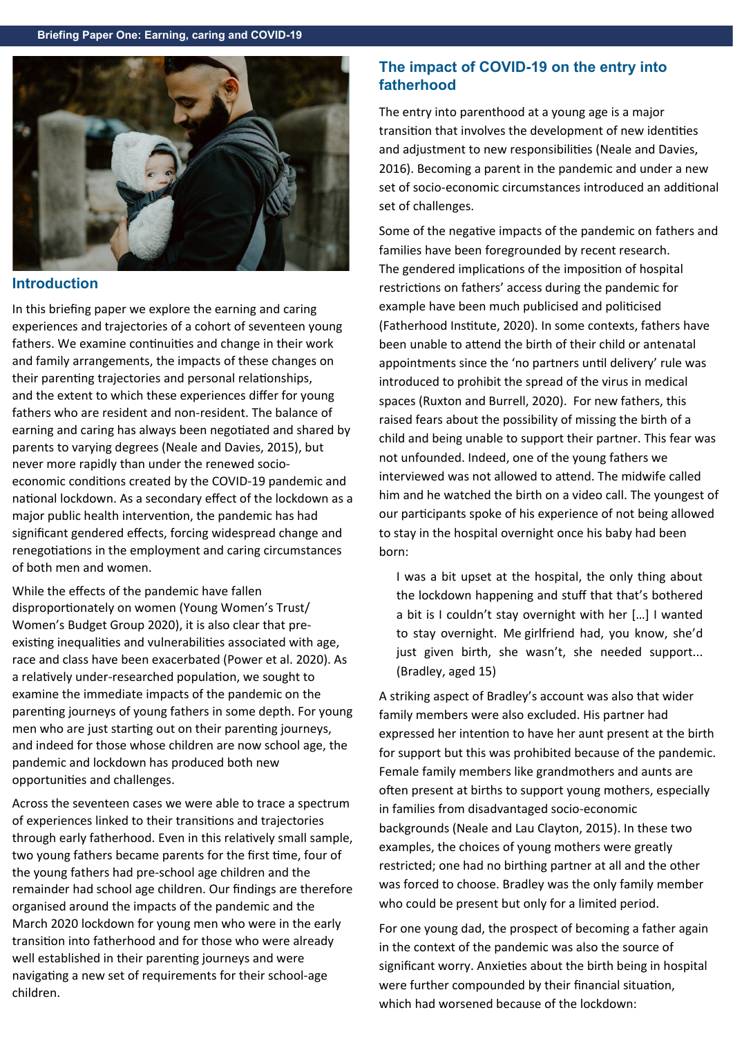

#### **Introduction**

In this briefing paper we explore the earning and caring experiences and trajectories of a cohort of seventeen young fathers. We examine continuities and change in their work and family arrangements, the impacts of these changes on their parenting trajectories and personal relationships, and the extent to which these experiences differ for young fathers who are resident and non-resident. The balance of earning and caring has always been negotiated and shared by parents to varying degrees (Neale and Davies, 2015), but never more rapidly than under the renewed socioeconomic conditions created by the COVID-19 pandemic and national lockdown. As a secondary effect of the lockdown as a major public health intervention, the pandemic has had significant gendered effects, forcing widespread change and renegotiations in the employment and caring circumstances of both men and women.

While the effects of the pandemic have fallen disproportionately on women (Young Women's Trust/ Women's Budget Group 2020), it is also clear that preexisting inequalities and vulnerabilities associated with age, race and class have been exacerbated (Power et al. 2020). As a relatively under-researched population, we sought to examine the immediate impacts of the pandemic on the parenting journeys of young fathers in some depth. For young men who are just starting out on their parenting journeys, and indeed for those whose children are now school age, the pandemic and lockdown has produced both new opportunities and challenges.

Across the seventeen cases we were able to trace a spectrum of experiences linked to their transitions and trajectories through early fatherhood. Even in this relatively small sample, two young fathers became parents for the first time, four of the young fathers had pre-school age children and the remainder had school age children. Our findings are therefore organised around the impacts of the pandemic and the March 2020 lockdown for young men who were in the early transition into fatherhood and for those who were already well established in their parenting journeys and were navigating a new set of requirements for their school-age children.

# **The impact of COVID-19 on the entry into fatherhood**

The entry into parenthood at a young age is a major transition that involves the development of new identities and adjustment to new responsibilities (Neale and Davies, 2016). Becoming a parent in the pandemic and under a new set of socio-economic circumstances introduced an additional set of challenges.

Some of the negative impacts of the pandemic on fathers and families have been foregrounded by recent research. The gendered implications of the imposition of hospital restrictions on fathers' access during the pandemic for example have been much publicised and politicised (Fatherhood Institute, 2020). In some contexts, fathers have been unable to attend the birth of their child or antenatal appointments since the 'no partners until delivery' rule was introduced to prohibit the spread of the virus in medical spaces (Ruxton and Burrell, 2020). For new fathers, this raised fears about the possibility of missing the birth of a child and being unable to support their partner. This fear was not unfounded. Indeed, one of the young fathers we interviewed was not allowed to attend. The midwife called him and he watched the birth on a video call. The youngest of our participants spoke of his experience of not being allowed to stay in the hospital overnight once his baby had been born:

I was a bit upset at the hospital, the only thing about the lockdown happening and stuff that that's bothered a bit is I couldn't stay overnight with her […] I wanted to stay overnight.  Me girlfriend had, you know, she'd just given birth, she wasn't, she needed support... (Bradley, aged 15)

A striking aspect of Bradley's account was also that wider family members were also excluded. His partner had expressed her intention to have her aunt present at the birth for support but this was prohibited because of the pandemic. Female family members like grandmothers and aunts are often present at births to support young mothers, especially in families from disadvantaged socio-economic backgrounds (Neale and Lau Clayton, 2015). In these two examples, the choices of young mothers were greatly restricted; one had no birthing partner at all and the other was forced to choose. Bradley was the only family member who could be present but only for a limited period.

For one young dad, the prospect of becoming a father again in the context of the pandemic was also the source of significant worry. Anxieties about the birth being in hospital were further compounded by their financial situation, which had worsened because of the lockdown: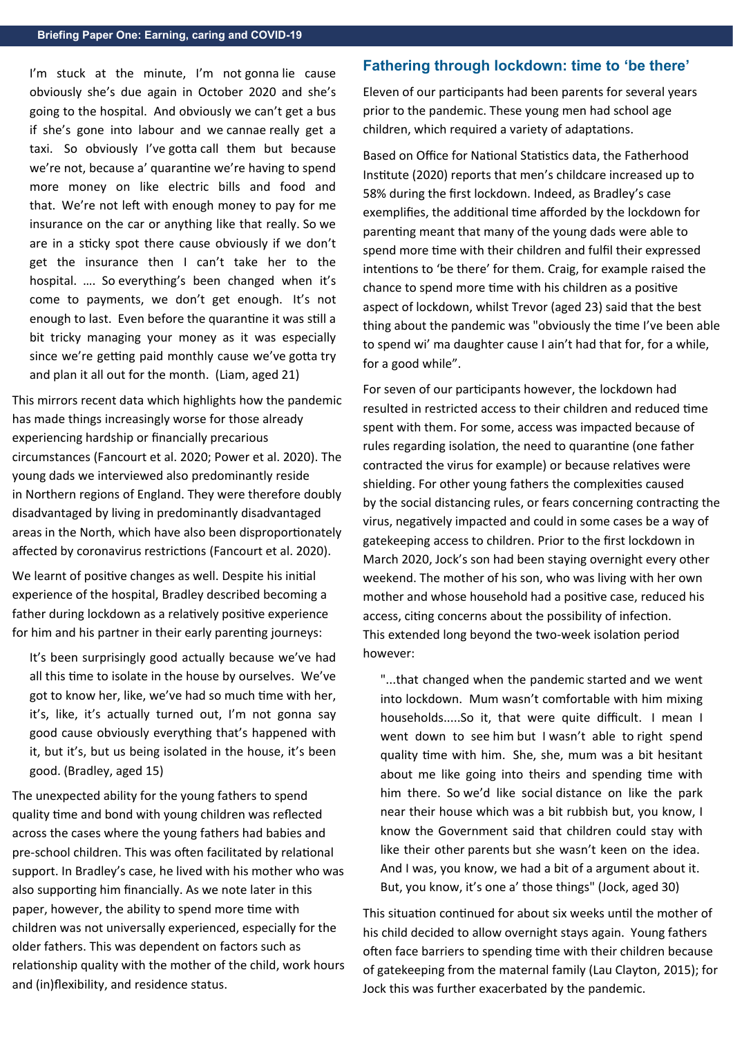I'm stuck at the minute, I'm not gonna lie cause obviously she's due again in October 2020 and she's going to the hospital.  And obviously we can't get a bus if she's gone into labour and we cannae really get a taxi.  So obviously I've gotta call them but because we're not, because a' quarantine we're having to spend more money on like electric bills and food and that.  We're not left with enough money to pay for me insurance on the car or anything like that really. So we are in a sticky spot there cause obviously if we don't get the insurance then I can't take her to the hospital.  ….  So everything's been changed when it's come to payments, we don't get enough.  It's not enough to last.  Even before the quarantine it was still a bit tricky managing your money as it was especially since we're getting paid monthly cause we've gotta try and plan it all out for the month.  (Liam, aged 21) 

This mirrors recent data which highlights how the pandemic has made things increasingly worse for those already experiencing hardship or financially precarious circumstances (Fancourt et al. 2020; Power et al. 2020). The young dads we interviewed also predominantly reside in Northern regions of England. They were therefore doubly disadvantaged by living in predominantly disadvantaged areas in the North, which have also been disproportionately affected by coronavirus restrictions (Fancourt et al. 2020).

We learnt of positive changes as well. Despite his initial experience of the hospital, Bradley described becoming a father during lockdown as a relatively positive experience for him and his partner in their early parenting journeys:

It's been surprisingly good actually because we've had all this time to isolate in the house by ourselves. We've got to know her, like, we've had so much time with her, it's, like, it's actually turned out, I'm not gonna say good cause obviously everything that's happened with it, but it's, but us being isolated in the house, it's been good. (Bradley, aged 15)

The unexpected ability for the young fathers to spend quality time and bond with young children was reflected across the cases where the young fathers had babies and pre-school children. This was often facilitated by relational support. In Bradley's case, he lived with his mother who was also supporting him financially. As we note later in this paper, however, the ability to spend more time with children was not universally experienced, especially for the older fathers. This was dependent on factors such as relationship quality with the mother of the child, work hours and (in)flexibility, and residence status.

#### **Fathering through lockdown: time to 'be there'**

Eleven of our participants had been parents for several years prior to the pandemic. These young men had school age children, which required a variety of adaptations.  

Based on Office for National Statistics data, the Fatherhood Institute (2020) reports that men's childcare increased up to 58% during the first lockdown. Indeed, as Bradley's case exemplifies, the additional time afforded by the lockdown for parenting meant that many of the young dads were able to spend more time with their children and fulfil their expressed intentions to 'be there' for them. Craig, for example raised the chance to spend more time with his children as a positive aspect of lockdown, whilst Trevor (aged 23) said that the best thing about the pandemic was "obviously the time I've been able to spend wi' ma daughter cause I ain't had that for, for a while, for a good while".

For seven of our participants however, the lockdown had resulted in restricted access to their children and reduced time spent with them. For some, access was impacted because of rules regarding isolation, the need to quarantine (one father contracted the virus for example) or because relatives were shielding. For other young fathers the complexities caused by the social distancing rules, or fears concerning contracting the virus, negatively impacted and could in some cases be a way of gatekeeping access to children. Prior to the first lockdown in March 2020, Jock's son had been staying overnight every other weekend. The mother of his son, who was living with her own mother and whose household had a positive case, reduced his access, citing concerns about the possibility of infection. This extended long beyond the two-week isolation period however:

"...that changed when the pandemic started and we went into lockdown.  Mum wasn't comfortable with him mixing households.....So it, that were quite difficult.  I mean I went down to see him but I wasn't able to right spend quality time with him.  She, she, mum was a bit hesitant about me like going into theirs and spending time with him there.  So we'd like social distance on like the park near their house which was a bit rubbish but, you know, I know the Government said that children could stay with like their other parents but she wasn't keen on the idea.  And I was, you know, we had a bit of a argument about it.  But, you know, it's one a' those things" (Jock, aged 30) 

This situation continued for about six weeks until the mother of his child decided to allow overnight stays again. Young fathers often face barriers to spending time with their children because of gatekeeping from the maternal family (Lau Clayton, 2015); for Jock this was further exacerbated by the pandemic.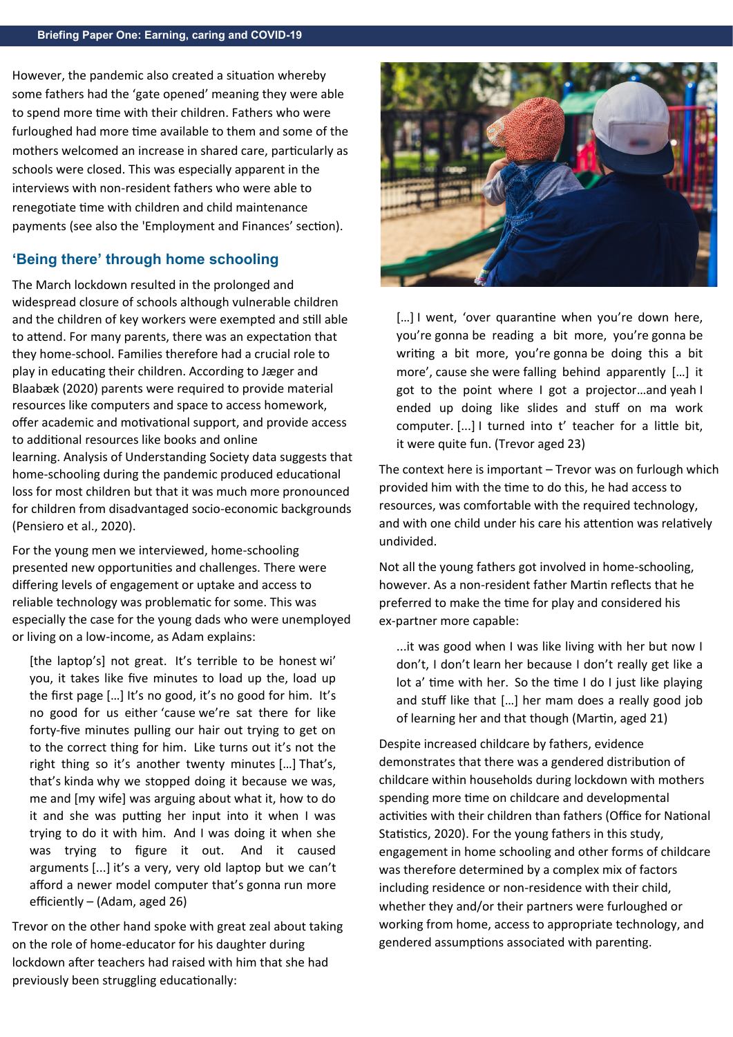However, the pandemic also created a situation whereby some fathers had the 'gate opened' meaning they were able to spend more time with their children. Fathers who were furloughed had more time available to them and some of the mothers welcomed an increase in shared care, particularly as schools were closed. This was especially apparent in the interviews with non-resident fathers who were able to renegotiate time with children and child maintenance payments (see also the 'Employment and Finances' section).  

### **'Being there' through home schooling**

The March lockdown resulted in the prolonged and widespread closure of schools although vulnerable children and the children of key workers were exempted and still able to attend. For many parents, there was an expectation that they home-school. Families therefore had a crucial role to play in educating their children. According to Jæger and Blaabæk (2020) parents were required to provide material resources like computers and space to access homework, offer academic and motivational support, and provide access to additional resources like books and online learning. Analysis of Understanding Society data suggests that home-schooling during the pandemic produced educational loss for most children but that it was much more pronounced for children from disadvantaged socio-economic backgrounds (Pensiero et al., 2020).

For the young men we interviewed, home-schooling presented new opportunities and challenges. There were differing levels of engagement or uptake and access to reliable technology was problematic for some. This was especially the case for the young dads who were unemployed or living on a low-income, as Adam explains:

[the laptop's] not great.  It's terrible to be honest wi' you, it takes like five minutes to load up the, load up the first page […] It's no good, it's no good for him.  It's no good for us either 'cause we're sat there for like forty-five minutes pulling our hair out trying to get on to the correct thing for him.  Like turns out it's not the right thing so it's another twenty minutes […] That's, that's kinda why we stopped doing it because we was, me and [my wife] was arguing about what it, how to do it and she was putting her input into it when I was trying to do it with him.  And I was doing it when she was trying to figure it out.  And it caused arguments [...] it's a very, very old laptop but we can't afford a newer model computer that's gonna run more efficiently – (Adam, aged 26) 

Trevor on the other hand spoke with great zeal about taking on the role of home-educator for his daughter during lockdown after teachers had raised with him that she had previously been struggling educationally: 



[...] I went, 'over quarantine when you're down here, you're gonna be reading a bit more, you're gonna be writing a bit more, you're gonna be doing this a bit more', cause she were falling behind apparently […] it got to the point where I got a projector…and yeah I ended up doing like slides and stuff on ma work computer. [...] I turned into t' teacher for a little bit, it were quite fun. (Trevor aged 23) 

The context here is important – Trevor was on furlough which provided him with the time to do this, he had access to resources, was comfortable with the required technology, and with one child under his care his attention was relatively undivided.

Not all the young fathers got involved in home-schooling, however. As a non-resident father Martin reflects that he preferred to make the time for play and considered his ex-partner more capable:

...it was good when I was like living with her but now I don't, I don't learn her because I don't really get like a lot a' time with her.  So the time I do I just like playing and stuff like that […] her mam does a really good job of learning her and that though (Martin, aged 21)

Despite increased childcare by fathers, evidence demonstrates that there was a gendered distribution of childcare within households during lockdown with mothers spending more time on childcare and developmental activities with their children than fathers (Office for National Statistics, 2020). For the young fathers in this study, engagement in home schooling and other forms of childcare was therefore determined by a complex mix of factors including residence or non-residence with their child, whether they and/or their partners were furloughed or working from home, access to appropriate technology, and gendered assumptions associated with parenting.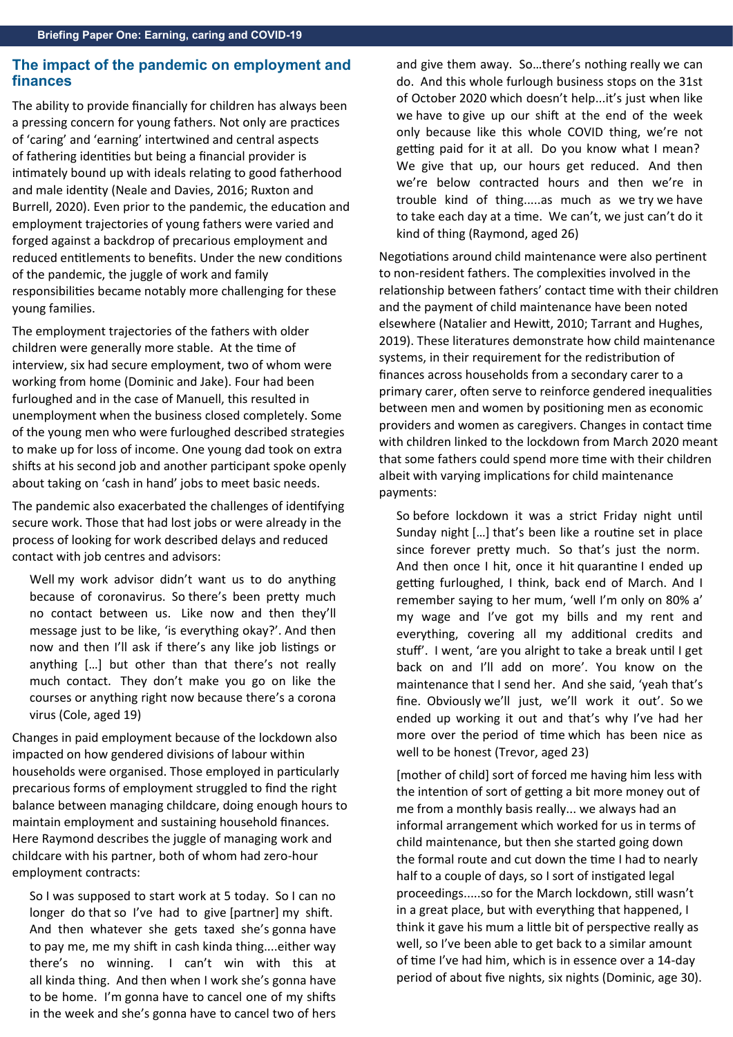#### **The impact of the pandemic on employment and finances**

The ability to provide financially for children has always been a pressing concern for young fathers. Not only are practices of 'caring' and 'earning' intertwined and central aspects of fathering identities but being a financial provider is intimately bound up with ideals relating to good fatherhood and male identity (Neale and Davies, 2016; Ruxton and Burrell, 2020). Even prior to the pandemic, the education and employment trajectories of young fathers were varied and forged against a backdrop of precarious employment and reduced entitlements to benefits. Under the new conditions of the pandemic, the juggle of work and family responsibilities became notably more challenging for these young families.  

The employment trajectories of the fathers with older children were generally more stable. At the time of interview, six had secure employment, two of whom were working from home (Dominic and Jake). Four had been furloughed and in the case of Manuell, this resulted in unemployment when the business closed completely. Some of the young men who were furloughed described strategies to make up for loss of income. One young dad took on extra shifts at his second job and another participant spoke openly about taking on 'cash in hand' jobs to meet basic needs.

The pandemic also exacerbated the challenges of identifying secure work. Those that had lost jobs or were already in the process of looking for work described delays and reduced contact with job centres and advisors:  

Well my work advisor didn't want us to do anything because of coronavirus.  So there's been pretty much no contact between us.  Like now and then they'll message just to be like, 'is everything okay?'. And then now and then I'll ask if there's any like job listings or anything […] but other than that there's not really much contact.  They don't make you go on like the courses or anything right now because there's a corona virus (Cole, aged 19)

Changes in paid employment because of the lockdown also impacted on how gendered divisions of labour within households were organised. Those employed in particularly precarious forms of employment struggled to find the right balance between managing childcare, doing enough hours to maintain employment and sustaining household finances. Here Raymond describes the juggle of managing work and childcare with his partner, both of whom had zero-hour employment contracts:  

So I was supposed to start work at 5 today.  So I can no longer do that so I've had to give [partner] my shift.  And then whatever she gets taxed she's gonna have to pay me, me my shift in cash kinda thing....either way there's no winning.  I can't win with this at all kinda thing.  And then when I work she's gonna have to be home.  I'm gonna have to cancel one of my shifts in the week and she's gonna have to cancel two of hers

and give them away.  So…there's nothing really we can do.  And this whole furlough business stops on the 31st of October 2020 which doesn't help...it's just when like we have to give up our shift at the end of the week only because like this whole COVID thing, we're not getting paid for it at all.  Do you know what I mean?  We give that up, our hours get reduced.  And then we're below contracted hours and then we're in trouble kind of thing.....as much as we try we have to take each day at a time.  We can't, we just can't do it kind of thing (Raymond, aged 26) 

Negotiations around child maintenance were also pertinent to non-resident fathers. The complexities involved in the relationship between fathers' contact time with their children and the payment of child maintenance have been noted elsewhere (Natalier and Hewitt, 2010; Tarrant and Hughes, 2019). These literatures demonstrate how child maintenance systems, in their requirement for the redistribution of finances across households from a secondary carer to a primary carer, often serve to reinforce gendered inequalities between men and women by positioning men as economic providers and women as caregivers. Changes in contact time with children linked to the lockdown from March 2020 meant that some fathers could spend more time with their children albeit with varying implications for child maintenance payments:

So before lockdown it was a strict Friday night until Sunday night […] that's been like a routine set in place since forever pretty much.  So that's just the norm.  And then once I hit, once it hit quarantine I ended up getting furloughed, I think, back end of March. And I remember saying to her mum, 'well I'm only on 80% a' my wage and I've got my bills and my rent and everything, covering all my additional credits and stuff'.  I went, 'are you alright to take a break until I get back on and I'll add on more'. You know on the maintenance that I send her.  And she said, 'yeah that's fine.  Obviously we'll just, we'll work it out'.  So we ended up working it out and that's why I've had her more over the period of time which has been nice as well to be honest (Trevor, aged 23) 

[mother of child] sort of forced me having him less with the intention of sort of getting a bit more money out of me from a monthly basis really... we always had an informal arrangement which worked for us in terms of child maintenance, but then she started going down the formal route and cut down the time I had to nearly half to a couple of days, so I sort of instigated legal proceedings.....so for the March lockdown, still wasn't in a great place, but with everything that happened, I think it gave his mum a little bit of perspective really as well, so I've been able to get back to a similar amount of time I've had him, which is in essence over a 14-day period of about five nights, six nights (Dominic, age 30).